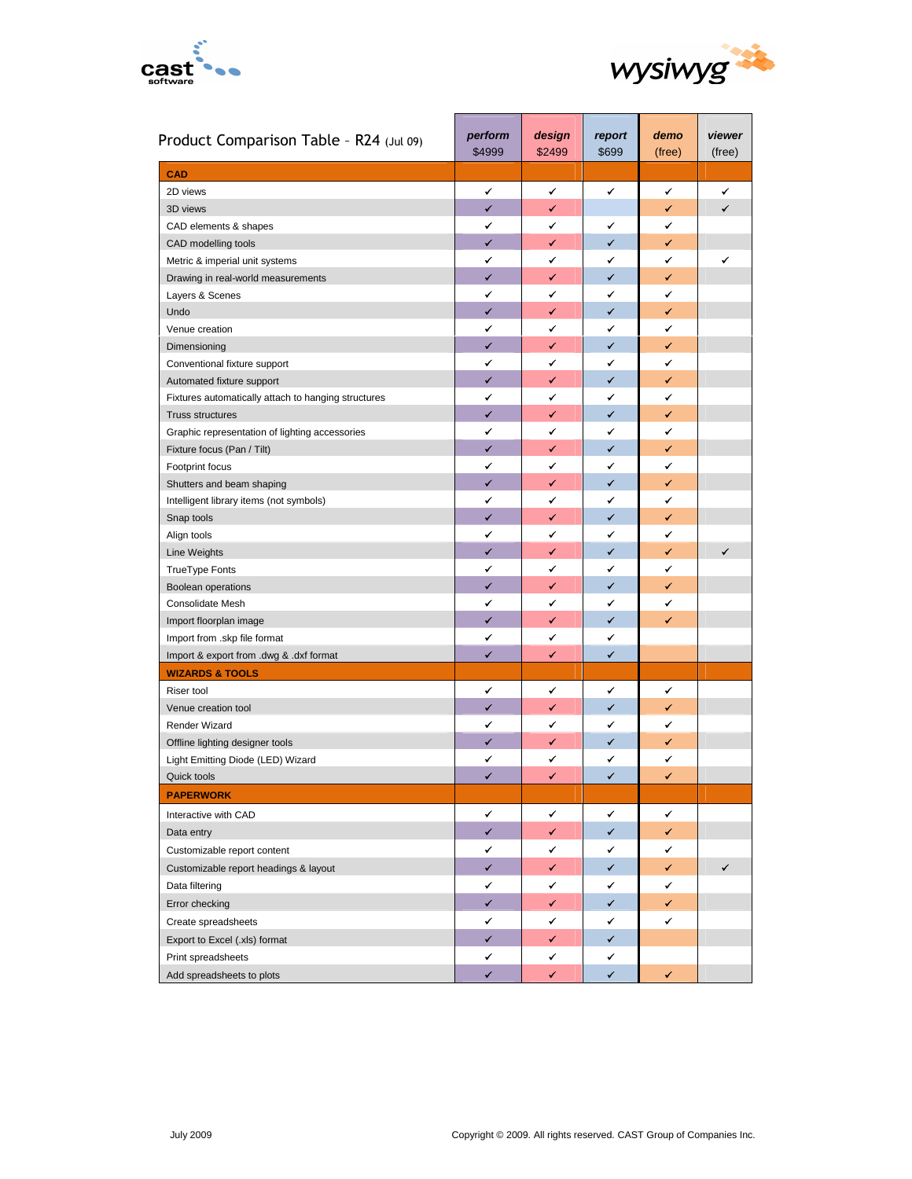



| Product Comparison Table - R24 (Jul 09)             | perform<br>\$4999 | design<br>\$2499 | report<br>\$699 | demo<br>(free) | viewer<br>(free) |
|-----------------------------------------------------|-------------------|------------------|-----------------|----------------|------------------|
| <b>CAD</b>                                          |                   |                  |                 |                |                  |
| 2D views                                            | ✔                 | ✔                | ✔               | ✓              | ✔                |
| 3D views                                            | ✓                 | ✔                |                 | ✓              | $\checkmark$     |
| CAD elements & shapes                               | ✔                 | ✔                | ✔               | ✔              |                  |
| CAD modelling tools                                 | $\checkmark$      | ✓                | ✔               | ✓              |                  |
| Metric & imperial unit systems                      | ✔                 | ✔                | ✔               | ✓              | ✓                |
| Drawing in real-world measurements                  | ✓                 | ✔                | $\checkmark$    | ✓              |                  |
| Layers & Scenes                                     | ✔                 | ✓                | ✔               | ✔              |                  |
| Undo                                                | ✓                 | ✔                | ✓               | ✔              |                  |
| Venue creation                                      | ✔                 | ✔                | ✔               | ✔              |                  |
| Dimensioning                                        | $\checkmark$      | ✔                | ✓               | ✓              |                  |
| Conventional fixture support                        | ✔                 | ✔                | ✔               | ✔              |                  |
| Automated fixture support                           | $\checkmark$      | ✓                | ✓               | ✔              |                  |
| Fixtures automatically attach to hanging structures | ✔                 | ✔                | ✓               | ✓              |                  |
| <b>Truss structures</b>                             | ✔                 | ✓                | ✓               | ✓              |                  |
| Graphic representation of lighting accessories      | ✔                 | ✔                | ✔               | ✔              |                  |
| Fixture focus (Pan / Tilt)                          | ✔                 | ✓                | ✓               | ✔              |                  |
| Footprint focus                                     | ✔                 | ✔                | ✔               | ✔              |                  |
| Shutters and beam shaping                           | $\checkmark$      | ✓                | ✓               | ✓              |                  |
| Intelligent library items (not symbols)             | ✔                 | ✓                | ✔               | ✔              |                  |
| Snap tools                                          | ✓                 | ✔                | ✓               | ✔              |                  |
| Align tools                                         | ✔                 | ✔                | ✔               | ✔              |                  |
| <b>Line Weights</b>                                 | ✔                 | ✔                | ✓               | ✔              | ✓                |
| TrueType Fonts                                      | ✔                 | ✔                | ✔               | ✔              |                  |
| <b>Boolean operations</b>                           | ✓                 | ✓                | ✓               | ✓              |                  |
| Consolidate Mesh                                    | ✔                 | ✔                | ✓               | ✔              |                  |
| Import floorplan image                              | ✓                 | ✓                | ✓               | ✔              |                  |
| Import from .skp file format                        | ✔                 | ✓                | ✔               |                |                  |
| Import & export from .dwg & .dxf format             | ✔                 | ✔                | $\checkmark$    |                |                  |
| <b>WIZARDS &amp; TOOLS</b>                          |                   |                  |                 |                |                  |
| Riser tool                                          | ✔                 | ✔                | ✔               | ✓              |                  |
| Venue creation tool                                 | $\checkmark$      | ✔                | ✓               | ✔              |                  |
| Render Wizard                                       | ✔                 | ✔                | ✔               | ✔              |                  |
| Offline lighting designer tools                     | ✔                 | ✔                | ✓               | ✔              |                  |
| Light Emitting Diode (LED) Wizard                   | ✔                 | ✔                | ✔               | ✔              |                  |
| Quick tools                                         | ✔                 | ✔                | ✓               | ✓              |                  |
| <b>PAPERWORK</b>                                    |                   |                  |                 |                |                  |
| Interactive with CAD                                | ✔                 | ✓                | ✔               | ✔              |                  |
| Data entry                                          | ✓                 | ✓                | ✔               | ✓              |                  |
| Customizable report content                         | ✔                 | ✔                | ✔               | ✔              |                  |
| Customizable report headings & layout               | ✓                 | ✓                | ✓               | ✓              | ✓                |
| Data filtering                                      | ✔                 | ✔                | ✔               | ✔              |                  |
| Error checking                                      | ✓                 | ✓                | ✓               | ✓              |                  |
| Create spreadsheets                                 | ✓                 | ✔                | ✔               | ✔              |                  |
| Export to Excel (.xls) format                       | ✓                 | ✓                | ✓               |                |                  |
| Print spreadsheets                                  | ✓                 | ✓                | ✔               |                |                  |
| Add spreadsheets to plots                           | ✓                 | ✓                | ✓               | ✓              |                  |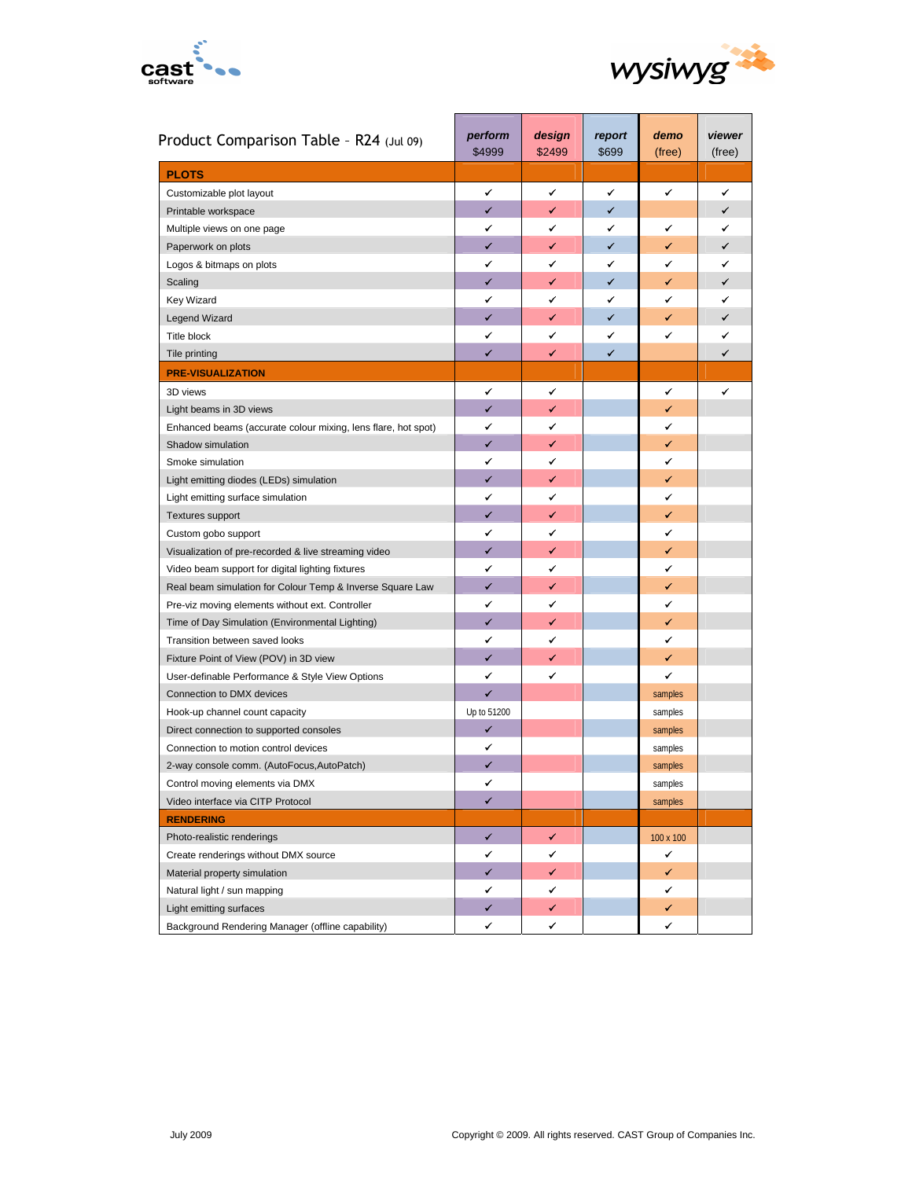



| Product Comparison Table - R24 (Jul 09)                       | perform<br>\$4999 | design<br>\$2499 | report<br>\$699 | demo<br>(free) | viewer<br>(free) |
|---------------------------------------------------------------|-------------------|------------------|-----------------|----------------|------------------|
| <b>PLOTS</b>                                                  |                   |                  |                 |                |                  |
| Customizable plot layout                                      | ✔                 | ✔                | ✔               | ✔              | ✓                |
| Printable workspace                                           | ✓                 | ✓                | $\checkmark$    |                | ✓                |
| Multiple views on one page                                    | ✓                 | ✔                | ✓               | ✔              | ✓                |
| Paperwork on plots                                            | ✓                 | ✓                | $\checkmark$    | ✓              | ✓                |
| Logos & bitmaps on plots                                      | ✓                 | ✔                | ✓               | ✓              | ✓                |
| Scaling                                                       | ✓                 | ✓                | $\checkmark$    | ✓              | ✓                |
| Key Wizard                                                    | ✔                 | ✔                | ✓               | ✓              | ✓                |
| <b>Legend Wizard</b>                                          | ✓                 | ✓                | $\checkmark$    | ✓              | ✓                |
| <b>Title block</b>                                            | ✔                 | ✔                | ✔               | ✓              | ✓                |
| Tile printing                                                 | $\checkmark$      | ✓                | ✓               |                | ✓                |
| <b>PRE-VISUALIZATION</b>                                      |                   |                  |                 |                |                  |
| 3D views                                                      | ✔                 | ✔                |                 | ✔              | ✓                |
| Light beams in 3D views                                       | $\checkmark$      | ✓                |                 | ✓              |                  |
| Enhanced beams (accurate colour mixing, lens flare, hot spot) | ✔                 | ✔                |                 | ✓              |                  |
| Shadow simulation                                             | ✓                 | ✓                |                 | ✓              |                  |
| Smoke simulation                                              | ✔                 | ✔                |                 | ✔              |                  |
| Light emitting diodes (LEDs) simulation                       | ✓                 | ✓                |                 | ✓              |                  |
| Light emitting surface simulation                             | ✔                 | ✔                |                 | ✔              |                  |
| <b>Textures support</b>                                       | $\checkmark$      | ✓                |                 | ✓              |                  |
| Custom gobo support                                           | ✔                 | ✔                |                 | ✔              |                  |
| Visualization of pre-recorded & live streaming video          | $\checkmark$      | ✓                |                 | ✓              |                  |
| Video beam support for digital lighting fixtures              | ✔                 | ✔                |                 | ✔              |                  |
| Real beam simulation for Colour Temp & Inverse Square Law     | $\checkmark$      | ✓                |                 | ✓              |                  |
| Pre-viz moving elements without ext. Controller               | ✔                 | ✓                |                 | ✔              |                  |
| Time of Day Simulation (Environmental Lighting)               | $\checkmark$      | ✓                |                 | ✓              |                  |
| Transition between saved looks                                | ✔                 | ✓                |                 | ✔              |                  |
| Fixture Point of View (POV) in 3D view                        | $\checkmark$      | ✓                |                 | ✔              |                  |
| User-definable Performance & Style View Options               | ✔                 | ✔                |                 | ✔              |                  |
| Connection to DMX devices                                     | $\checkmark$      |                  |                 | samples        |                  |
| Hook-up channel count capacity                                | Up to 51200       |                  |                 | samples        |                  |
| Direct connection to supported consoles                       | ✓                 |                  |                 | samples        |                  |
| Connection to motion control devices                          | ✔                 |                  |                 | samples        |                  |
| 2-way console comm. (AutoFocus, AutoPatch)                    | ✓                 |                  |                 | samples        |                  |
| Control moving elements via DMX                               | ✓                 |                  |                 | samples        |                  |
| Video interface via CITP Protocol                             | ✔                 |                  |                 | samples        |                  |
| <b>RENDERING</b>                                              |                   |                  |                 |                |                  |
| Photo-realistic renderings                                    | ✓                 | ✓                |                 | 100 x 100      |                  |
| Create renderings without DMX source                          | ✔                 | ✔                |                 | ✔              |                  |
| Material property simulation                                  | $\checkmark$      | ✓                |                 | ✔              |                  |
| Natural light / sun mapping                                   | ✔                 | ✔                |                 | ✔              |                  |
| Light emitting surfaces                                       | $\checkmark$      | ✓                |                 | ✔              |                  |
| Background Rendering Manager (offline capability)             | ✔                 | ✔                |                 | ✔              |                  |